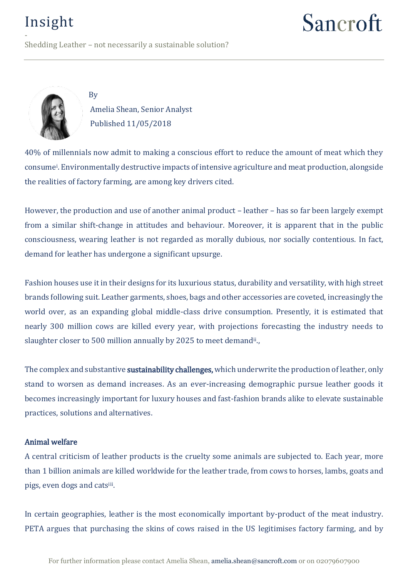Sancroft

- Shedding Leather – not necessarily a sustainable solution?



By

Amelia Shean, Senior Analyst Published 11/05/2018

40% of millennials now admit to making a conscious effort to reduce the amount of meat which they consume<sup>i</sup> . Environmentally destructive impacts of intensive agriculture and meat production, alongside the realities of factory farming, are among key drivers cited.

However, the production and use of another animal product – leather – has so far been largely exempt from a similar shift-change in attitudes and behaviour. Moreover, it is apparent that in the public consciousness, wearing leather is not regarded as morally dubious, nor socially contentious. In fact, demand for leather has undergone a significant upsurge.

Fashion houses use it in their designs for its luxurious status, durability and versatility, with high street brands following suit. Leather garments, shoes, bags and other accessories are coveted, increasingly the world over, as an expanding global middle-class drive consumption. Presently, it is estimated that nearly 300 million cows are killed every year, with projections forecasting the industry needs to slaughter closer to 500 million annually by 2025 to meet demand<sup>ii</sup>.,

The complex and substantive **sustainability challenges,** which underwrite the production of leather, only stand to worsen as demand increases. As an ever-increasing demographic pursue leather goods it becomes increasingly important for luxury houses and fast-fashion brands alike to elevate sustainable practices, solutions and alternatives.

#### Animal welfare

A central criticism of leather products is the cruelty some animals are subjected to. Each year, more than 1 billion animals are killed worldwide for the leather trade, from cows to horses, lambs, goats and pigs, even dogs and catsiii .

In certain geographies, leather is the most economically important by-product of the meat industry. PETA argues that purchasing the skins of cows raised in the US legitimises factory farming, and by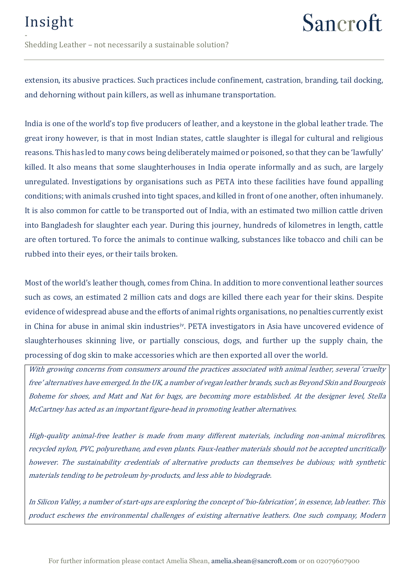## Sancroft

- Shedding Leather – not necessarily a sustainable solution?

extension, its abusive practices. Such practices include confinement, castration, branding, tail docking, and dehorning without pain killers, as well as inhumane transportation.

India is one of the world's top five producers of leather, and a keystone in the global leather trade. The great irony however, is that in most Indian states, cattle slaughter is illegal for cultural and religious reasons. This has led to many cows being deliberately maimed or poisoned, so that they can be 'lawfully' killed. It also means that some slaughterhouses in India operate informally and as such, are largely unregulated. Investigations by organisations such as PETA into these facilities have found appalling conditions; with animals crushed into tight spaces, and killed in front of one another, often inhumanely. It is also common for cattle to be transported out of India, with an estimated two million cattle driven into Bangladesh for slaughter each year. During this journey, hundreds of kilometres in length, cattle are often tortured. To force the animals to continue walking, substances like tobacco and chili can be rubbed into their eyes, or their tails broken.

Most of the world's leather though, comes from China. In addition to more conventional leather sources such as cows, an estimated 2 million cats and dogs are killed there each year for their skins. Despite evidence of widespread abuse and the efforts of animal rights organisations, no penalties currently exist in China for abuse in animal skin industriesiv. PETA investigators in Asia have uncovered evidence of slaughterhouses skinning live, or partially conscious, dogs, and further up the supply chain, the processing of dog skin to make accessories which are then exported all over the world.

With growing concerns from consumers around the practices associated with animal leather, several 'cruelty free' alternatives have emerged. In the UK, a number of vegan leather brands, such as Beyond Skin and Bourgeois Boheme for shoes, and Matt and Nat for bags, are becoming more established. At the designer level, Stella McCartney has acted as an important figure-head in promoting leather alternatives.

High-quality animal-free leather is made from many different materials, including non-animal microfibres, recycled nylon, PVC, polyurethane, and even plants. Faux-leather materials should not be accepted uncritically however. The sustainability credentials of alternative products can themselves be dubious; with synthetic materials tending to be petroleum by-products, and less able to biodegrade.

In Silicon Valley, a number of start-ups are exploring the concept of 'bio-fabrication', in essence, lab leather. This product eschews the environmental challenges of existing alternative leathers. One such company, Modern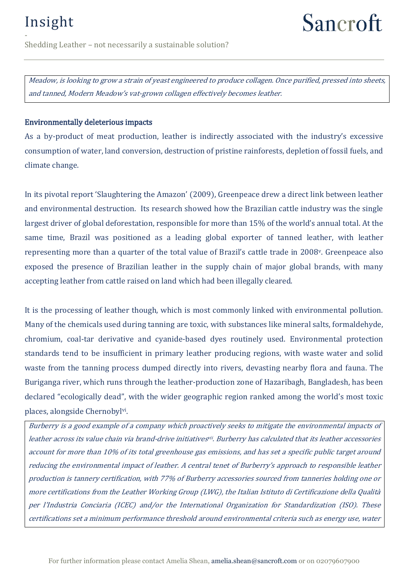## Sancroft

- Shedding Leather – not necessarily a sustainable solution?

Meadow, is looking to grow a strain of yeast engineered to produce collagen. Once purified, pressed into sheets, and tanned, Modern Meadow's vat-grown collagen effectively becomes leather.

#### Environmentally deleterious impacts

As a by-product of meat production, leather is indirectly associated with the industry's excessive consumption of water, land conversion, destruction of pristine rainforests, depletion of fossil fuels, and climate change.

In its pivotal report 'Slaughtering the Amazon' (2009), Greenpeace drew a direct link between leather and environmental destruction. Its research showed how the Brazilian cattle industry was the single largest driver of global deforestation, responsible for more than 15% of the world's annual total. At the same time, Brazil was positioned as a leading global exporter of tanned leather, with leather representing more than a quarter of the total value of Brazil's cattle trade in 2008v. Greenpeace also exposed the presence of Brazilian leather in the supply chain of major global brands, with many accepting leather from cattle raised on land which had been illegally cleared.

It is the processing of leather though, which is most commonly linked with environmental pollution. Many of the chemicals used during tanning are toxic, with substances like mineral salts, formaldehyde, chromium, coal-tar derivative and cyanide-based dyes routinely used. Environmental protection standards tend to be insufficient in primary leather producing regions, with waste water and solid waste from the tanning process dumped directly into rivers, devasting nearby flora and fauna. The Buriganga river, which runs through the leather-production zone of Hazaribagh, Bangladesh, has been declared "ecologically dead", with the wider geographic region ranked among the world's most toxic places, alongside Chernobyl<sup>vi</sup>.

Burberry is a good example of a company which proactively seeks to mitigate the environmental impacts of leather across its value chain via brand-drive initiatives<u>vi. Burberry has calculated that its leather accessories</u> account for more than 10% of its total greenhouse gas emissions, and has set a specific public target around reducing the environmental impact of leather. A central tenet of Burberry's approach to responsible leather production is tannery certification, with 77% of Burberry accessories sourced from tanneries holding one or more certifications from the Leather Working Group (LWG), the Italian Istituto di Certificazione della Qualità per l'Industria Conciaria (ICEC) and/or the International Organization for Standardization (ISO). These certifications set a minimum performance threshold around environmental criteria such as energy use, water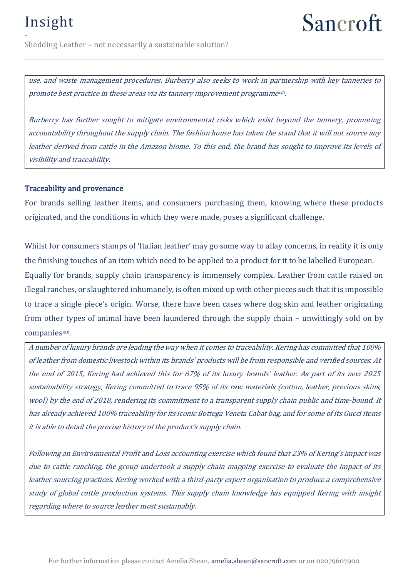# Sancroft

- Shedding Leather – not necessarily a sustainable solution?

use, and waste management procedures. Burberry also seeks to work in partnership with key tanneries to promote best practice in these areas via its tannery improvement programmeviii .

Burberry has further sought to mitigate environmental risks which exist beyond the tannery, promoting accountability throughout the supply chain. The fashion house has taken the stand that it will not source any leather derived from cattle in the Amazon biome. To this end, the brand has sought to improve its levels of visibility and traceability.

#### Traceability and provenance

For brands selling leather items, and consumers purchasing them, knowing where these products originated, and the conditions in which they were made, poses a significant challenge.

Whilst for consumers stamps of 'Italian leather' may go some way to allay concerns, in reality it is only the finishing touches of an item which need to be applied to a product for it to be labelled European. Equally for brands, supply chain transparency is immensely complex. Leather from cattle raised on illegal ranches, or slaughtered inhumanely, is often mixed up with other pieces such that it is impossible to trace a single piece's origin. Worse, there have been cases where dog skin and leather originating from other types of animal have been laundered through the supply chain – unwittingly sold on by companiesixx .

A number of luxury brands are leading the way when it comes to traceability. Kering has committed that 100% of leather from domestic livestock within its brands' products will be from responsible and verified sources. At the end of 2015, Kering had achieved this for 67% of its luxury brands' leather. As part of its new 2025 sustainability strategy, Kering committed to trace 95% of its raw materials (cotton, leather, precious skins, wool) by the end of 2018, rendering its commitment to a transparent supply chain public and time-bound. It has already achieved 100% traceability for its iconic Bottega Veneta Cabat bag, and for some of its Gucci items it is able to detail the precise history of the product's supply chain.

Following an Environmental Profit and Loss accounting exercise which found that 23% of Kering's impact was due to cattle ranching, the group undertook a supply chain mapping exercise to evaluate the impact of its leather sourcing practices. Kering worked with a third-party expert organisation to produce a comprehensive study of global cattle production systems. This supply chain knowledge has equipped Kering with insight regarding where to source leather most sustainably.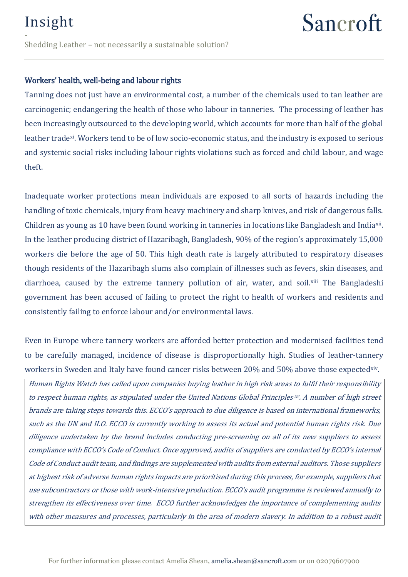- Shedding Leather – not necessarily a sustainable solution?

#### Workers' health, well-being and labour rights

Tanning does not just have an environmental cost, a number of the chemicals used to tan leather are carcinogenic; endangering the health of those who labour in tanneries. The processing of leather has been increasingly outsourced to the developing world, which accounts for more than half of the global leather tradexi. Workers tend to be of low socio-economic status, and the industry is exposed to serious and systemic social risks including labour rights violations such as forced and child labour, and wage theft.

Inadequate worker protections mean individuals are exposed to all sorts of hazards including the handling of toxic chemicals, injury from heavy machinery and sharp knives, and risk of dangerous falls. Children as young as 10 have been found working in tanneries in locations like Bangladesh and Indiaxii . In the leather producing district of Hazaribagh, Bangladesh, 90% of the region's approximately 15,000 workers die before the age of 50. This high death rate is largely attributed to respiratory diseases though residents of the Hazaribagh slums also complain of illnesses such as fevers, skin diseases, and diarrhoea, caused by the extreme tannery pollution of air, water, and soil.xiii The Bangladeshi government has been accused of failing to protect the right to health of workers and residents and consistently failing to enforce labour and/or environmental laws.

Even in Europe where tannery workers are afforded better protection and modernised facilities tend to be carefully managed, incidence of disease is disproportionally high. Studies of leather-tannery workers in Sweden and Italy have found cancer risks between 20% and 50% above those expectedxiv.

Human Rights Watch has called upon companies buying leather in high risk areas to fulfil their responsibility to respect human rights, as stipulated under the United Nations Global Principles  $w$ . A number of high street brands are taking steps towards this. ECCO's approach to due diligence is based on international frameworks, such as the UN and ILO. ECCO is currently working to assess its actual and potential human rights risk. Due diligence undertaken by the brand includes conducting pre-screening on all of its new suppliers to assess compliance with ECCO's Code of Conduct. Once approved, audits of suppliers are conducted by ECCO's internal Code of Conduct audit team, and findings are supplemented with audits from external auditors. Those suppliers at highest risk of adverse human rights impacts are prioritised during this process, for example, suppliers that use subcontractors or those with work-intensive production. ECCO's audit programme is reviewed annually to strengthen its effectiveness over time. ECCO further acknowledges the importance of complementing audits with other measures and processes, particularly in the area of modern slavery. In addition to a robust audit